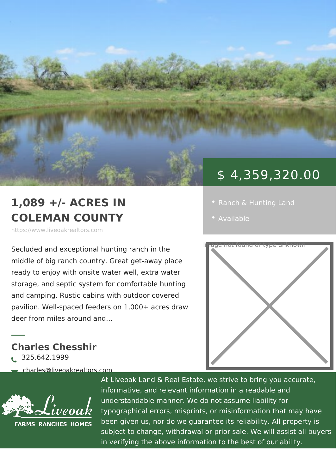## 1,089 +/- ACRES IN COLEMAN COUNTY

https://www.liveoakrealtors.com

middle of big ranch country. Great get-away place ready to enjoy with onsite water well, extra water storage, and septic system for comfortable hunting and camping. Rustic cabins with outdoor covered pavilion. Well-spaced feeders on 1,000+ acres draw deer from miles around and &

Charles Chesshir  $\delta$ • 325.642.1999

ðà charles@liveoakrealtors.com

ð¬ http://charleschesshir1.point2agent.com At Liveoak Land & Real Estate, we strive to bring you accurate, informative, and relevant information in a reada understandable manner. We do not assume liabil typographical errors, misprints, or misinformatic been given us, nor do we guarantee its reliabilit subject to change, withdrawal or prior sale. We in verifying the above information to the best of



## \$ 4,359,320.00

- 
- [Availa](https://www.liveoakrealtors.com/es_status/available/)ble